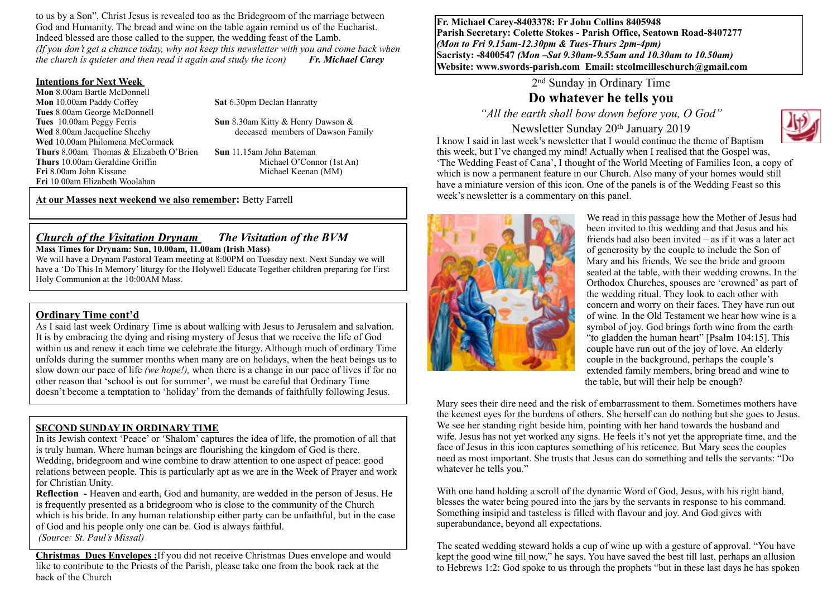to us by a Son". Christ Jesus is revealed too as the Bridegroom of the marriage between God and Humanity. The bread and wine on the table again remind us of the Eucharist. Indeed blessed are those called to the supper, the wedding feast of the Lamb. *(If you don't get a chance today, why not keep this newsletter with you and come back when the church is quieter and then read it again and study the icon) Fr. Michael Carey*

#### **Intentions for Next Week**

**Mon** 8.00am Bartle McDonnell **Mon** 10.00am Paddy Coffey **Sat** 6.30pm Declan Hanratty **Tues** 8.00am George McDonnell **Tues** 10.00am Peggy Ferris **Sun** 8.30am Kitty & Henry Dawson & **Wed** 8.00am Jacqueline Sheehy **b deceased members of Dawson Family Wed** 10.00am Philomena McCormack **Thurs** 8.00am Thomas & Elizabeth O'Brien **Sun** 11.15am John Bateman<br> **Thurs** 10.00am Geraldine Griffin **Sunner Comment Alleman** Michael O'Connor (1st An) **Thurs** 10.00am Geraldine Griffin<br> **Fri** 8.00am John Kissane<br>
Michael Keenan (MM) **Fri 8.00am John Kissane Fri** 10.00am Elizabeth Woolahan

**At our Masses next weekend we also remember:** Betty Farrell

#### *Church of the Visitation Drynam**The Visitation of the BVM* **Mass Times for Drynam: Sun, 10.00am, 11.00am (Irish Mass)**

We will have a Drynam Pastoral Team meeting at 8:00PM on Tuesday next. Next Sunday we will have a 'Do This In Memory' liturgy for the Holywell Educate Together children preparing for First Holy Communion at the 10:00AM Mass.

### **Ordinary Time cont'd**

As I said last week Ordinary Time is about walking with Jesus to Jerusalem and salvation. It is by embracing the dying and rising mystery of Jesus that we receive the life of God within us and renew it each time we celebrate the liturgy. Although much of ordinary Time unfolds during the summer months when many are on holidays, when the heat beings us to slow down our pace of life *(we hope!),* when there is a change in our pace of lives if for no other reason that 'school is out for summer', we must be careful that Ordinary Time doesn't become a temptation to 'holiday' from the demands of faithfully following Jesus.

### **SECOND SUNDAY IN ORDINARY TIME**

In its Jewish context 'Peace' or 'Shalom' captures the idea of life, the promotion of all that is truly human. Where human beings are flourishing the kingdom of God is there. Wedding, bridegroom and wine combine to draw attention to one aspect of peace: good relations between people. This is particularly apt as we are in the Week of Prayer and work for Christian Unity.

**Reflection -** Heaven and earth, God and humanity, are wedded in the person of Jesus. He is frequently presented as a bridegroom who is close to the community of the Church which is his bride. In any human relationship either party can be unfaithful, but in the case of God and his people only one can be. God is always faithful.  *(Source: St. Paul's Missal)*

**Christmas Dues Envelopes :**If you did not receive Christmas Dues envelope and would like to contribute to the Priests of the Parish, please take one from the book rack at the back of the Church

**Fr. Michael Carey-8403378: Fr John Collins 8405948 Parish Secretary: Colette Stokes - Parish Office, Seatown Road-8407277**  *(Mon to Fri 9.15am-12.30pm & Tues-Thurs 2pm-4pm)*  **Sacristy: -8400547** *(Mon –Sat 9.30am-9.55am and 10.30am to 10.50am)* **Website: [www.swords-parish.com Email:](http://www.swords-parish.com%20%20email) stcolmcilleschurch@gmail.com**

> 2nd Sunday in Ordinary Time **Do whatever he tells you**

*"All the earth shall bow down before you, O God"* 

Newsletter Sunday 20th January 2019



I know I said in last week's newsletter that I would continue the theme of Baptism this week, but I've changed my mind! Actually when I realised that the Gospel was. 'The Wedding Feast of Cana', I thought of the World Meeting of Families Icon, a copy of which is now a permanent feature in our Church. Also many of your homes would still have a miniature version of this icon. One of the panels is of the Wedding Feast so this week's newsletter is a commentary on this panel.



We read in this passage how the Mother of Jesus had been invited to this wedding and that Jesus and his friends had also been invited – as if it was a later act of generosity by the couple to include the Son of Mary and his friends. We see the bride and groom seated at the table, with their wedding crowns. In the Orthodox Churches, spouses are 'crowned' as part of the wedding ritual. They look to each other with concern and worry on their faces. They have run out of wine. In the Old Testament we hear how wine is a symbol of joy. God brings forth wine from the earth "to gladden the human heart" [Psalm 104:15]. This couple have run out of the joy of love. An elderly couple in the background, perhaps the couple's extended family members, bring bread and wine to the table, but will their help be enough?

Mary sees their dire need and the risk of embarrassment to them. Sometimes mothers have the keenest eyes for the burdens of others. She herself can do nothing but she goes to Jesus. We see her standing right beside him, pointing with her hand towards the husband and wife. Jesus has not yet worked any signs. He feels it's not yet the appropriate time, and the face of Jesus in this icon captures something of his reticence. But Mary sees the couples need as most important. She trusts that Jesus can do something and tells the servants: "Do whatever he tells you."

With one hand holding a scroll of the dynamic Word of God, Jesus, with his right hand, blesses the water being poured into the jars by the servants in response to his command. Something insipid and tasteless is filled with flavour and joy. And God gives with superabundance, beyond all expectations.

The seated wedding steward holds a cup of wine up with a gesture of approval. "You have kept the good wine till now," he says. You have saved the best till last, perhaps an allusion to Hebrews 1:2: God spoke to us through the prophets "but in these last days he has spoken